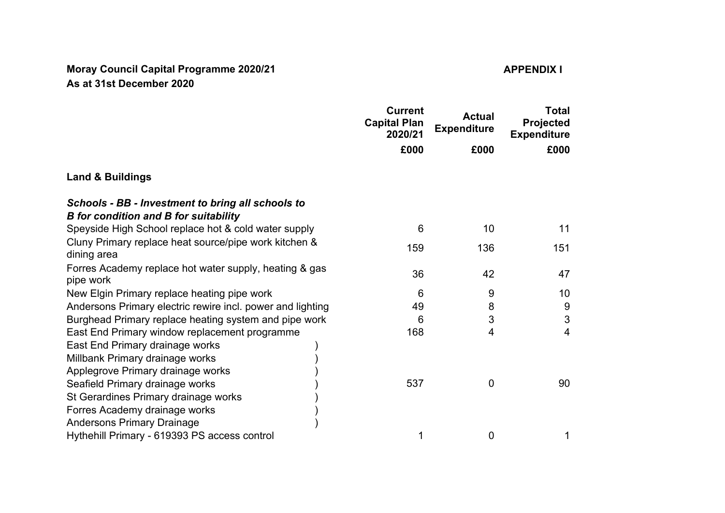## **Moray Council Capital Programme 2020/21 APPENDIX I As at 31st December 2020**

|                                                                                                   | <b>Current</b><br><b>Capital Plan</b><br>2020/21 | <b>Actual</b><br><b>Expenditure</b> | <b>Total</b><br>Projected<br><b>Expenditure</b><br>£000 |
|---------------------------------------------------------------------------------------------------|--------------------------------------------------|-------------------------------------|---------------------------------------------------------|
|                                                                                                   | £000                                             | £000                                |                                                         |
| <b>Land &amp; Buildings</b>                                                                       |                                                  |                                     |                                                         |
| Schools - BB - Investment to bring all schools to<br><b>B</b> for condition and B for suitability |                                                  |                                     |                                                         |
| Speyside High School replace hot & cold water supply                                              | 6                                                | 10                                  | 11                                                      |
| Cluny Primary replace heat source/pipe work kitchen &<br>dining area                              | 159                                              | 136                                 | 151                                                     |
| Forres Academy replace hot water supply, heating & gas<br>pipe work                               | 36                                               | 42                                  | 47                                                      |
| New Elgin Primary replace heating pipe work                                                       | 6                                                | 9                                   | 10                                                      |
| Andersons Primary electric rewire incl. power and lighting                                        | 49                                               | 8                                   | 9                                                       |
| Burghead Primary replace heating system and pipe work                                             | 6                                                | 3                                   | 3                                                       |
| East End Primary window replacement programme                                                     | 168                                              | 4                                   | $\overline{4}$                                          |
| East End Primary drainage works                                                                   |                                                  |                                     |                                                         |
| Millbank Primary drainage works                                                                   |                                                  |                                     |                                                         |
| Applegrove Primary drainage works                                                                 |                                                  |                                     |                                                         |
| Seafield Primary drainage works                                                                   | 537                                              | 0                                   | 90                                                      |
| St Gerardines Primary drainage works                                                              |                                                  |                                     |                                                         |
| Forres Academy drainage works                                                                     |                                                  |                                     |                                                         |
| <b>Andersons Primary Drainage</b>                                                                 |                                                  |                                     |                                                         |
| Hythehill Primary - 619393 PS access control                                                      | 1                                                | 0                                   | 1                                                       |